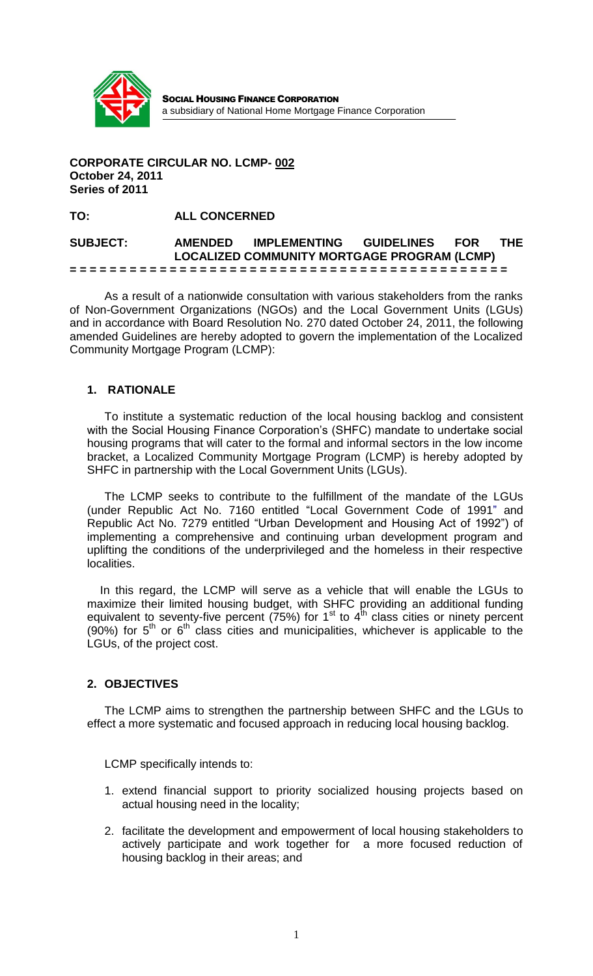

SOCIAL HOUSING FINANCE CORPORATION a subsidiary of National Home Mortgage Finance Corporation

#### **CORPORATE CIRCULAR NO. LCMP- 002 October 24, 2011 Series of 2011**

**TO: ALL CONCERNED**

#### **SUBJECT: AMENDED IMPLEMENTING GUIDELINES FOR THE LOCALIZED COMMUNITY MORTGAGE PROGRAM (LCMP) = = = = = = = = = = = = = = = = = = = = = = = = = = = = = = = = = = = = = = = = = = = =**

As a result of a nationwide consultation with various stakeholders from the ranks of Non-Government Organizations (NGOs) and the Local Government Units (LGUs) and in accordance with Board Resolution No. 270 dated October 24, 2011, the following amended Guidelines are hereby adopted to govern the implementation of the Localized Community Mortgage Program (LCMP):

## **1. RATIONALE**

To institute a systematic reduction of the local housing backlog and consistent with the Social Housing Finance Corporation's (SHFC) mandate to undertake social housing programs that will cater to the formal and informal sectors in the low income bracket, a Localized Community Mortgage Program (LCMP) is hereby adopted by SHFC in partnership with the Local Government Units (LGUs).

The LCMP seeks to contribute to the fulfillment of the mandate of the LGUs (under Republic Act No. 7160 entitled "Local Government Code of 1991" and Republic Act No. 7279 entitled "Urban Development and Housing Act of 1992") of implementing a comprehensive and continuing urban development program and uplifting the conditions of the underprivileged and the homeless in their respective localities.

 In this regard, the LCMP will serve as a vehicle that will enable the LGUs to maximize their limited housing budget, with SHFC providing an additional funding equivalent to seventy-five percent ( $75\%$ ) for 1<sup>st</sup> to 4<sup>th</sup> class cities or ninety percent  $(90%)$  for  $5<sup>th</sup>$  or  $6<sup>th</sup>$  class cities and municipalities, whichever is applicable to the LGUs, of the project cost.

## **2. OBJECTIVES**

The LCMP aims to strengthen the partnership between SHFC and the LGUs to effect a more systematic and focused approach in reducing local housing backlog.

LCMP specifically intends to:

- 1. extend financial support to priority socialized housing projects based on actual housing need in the locality;
- 2. facilitate the development and empowerment of local housing stakeholders to actively participate and work together for a more focused reduction of housing backlog in their areas; and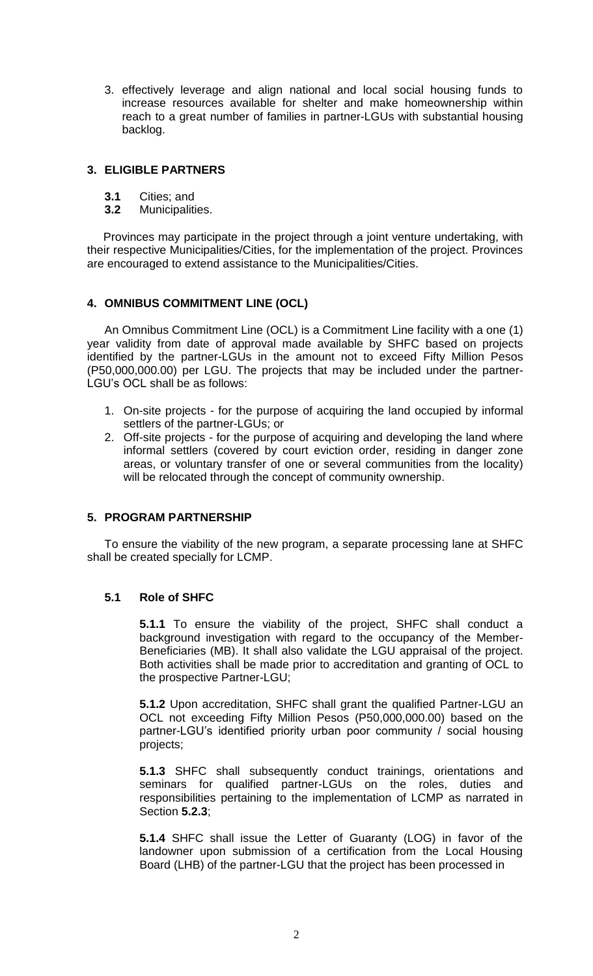3. effectively leverage and align national and local social housing funds to increase resources available for shelter and make homeownership within reach to a great number of families in partner-LGUs with substantial housing backlog.

## **3. ELIGIBLE PARTNERS**

- **3.1** Cities; and
- **3.2** Municipalities.

 Provinces may participate in the project through a joint venture undertaking, with their respective Municipalities/Cities, for the implementation of the project. Provinces are encouraged to extend assistance to the Municipalities/Cities.

## **4. OMNIBUS COMMITMENT LINE (OCL)**

An Omnibus Commitment Line (OCL) is a Commitment Line facility with a one (1) year validity from date of approval made available by SHFC based on projects identified by the partner-LGUs in the amount not to exceed Fifty Million Pesos (P50,000,000.00) per LGU. The projects that may be included under the partner-LGU's OCL shall be as follows:

- 1. On-site projects for the purpose of acquiring the land occupied by informal settlers of the partner-LGUs; or
- 2. Off-site projects for the purpose of acquiring and developing the land where informal settlers (covered by court eviction order, residing in danger zone areas, or voluntary transfer of one or several communities from the locality) will be relocated through the concept of community ownership.

## **5. PROGRAM PARTNERSHIP**

To ensure the viability of the new program, a separate processing lane at SHFC shall be created specially for LCMP.

# **5.1 Role of SHFC**

**5.1.1** To ensure the viability of the project, SHFC shall conduct a background investigation with regard to the occupancy of the Member-Beneficiaries (MB). It shall also validate the LGU appraisal of the project. Both activities shall be made prior to accreditation and granting of OCL to the prospective Partner-LGU;

**5.1.2** Upon accreditation, SHFC shall grant the qualified Partner-LGU an OCL not exceeding Fifty Million Pesos (P50,000,000.00) based on the partner-LGU's identified priority urban poor community / social housing projects;

**5.1.3** SHFC shall subsequently conduct trainings, orientations and seminars for qualified partner-LGUs on the roles, duties and responsibilities pertaining to the implementation of LCMP as narrated in Section **5.2.3**;

**5.1.4** SHFC shall issue the Letter of Guaranty (LOG) in favor of the landowner upon submission of a certification from the Local Housing Board (LHB) of the partner-LGU that the project has been processed in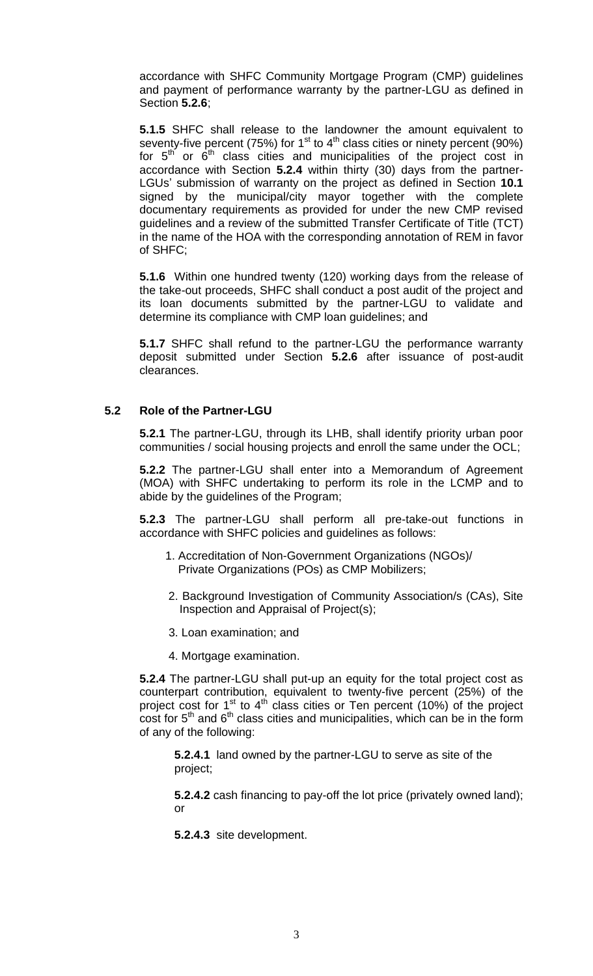accordance with SHFC Community Mortgage Program (CMP) guidelines and payment of performance warranty by the partner-LGU as defined in Section **5.2.6**;

**5.1.5** SHFC shall release to the landowner the amount equivalent to seventy-five percent  $(75%)$  for  $1<sup>st</sup>$  to  $4<sup>th</sup>$  class cities or ninety percent  $(90%)$ for  $5<sup>th</sup>$  or  $6<sup>th</sup>$  class cities and municipalities of the project cost in accordance with Section **5.2.4** within thirty (30) days from the partner-LGUs' submission of warranty on the project as defined in Section **10.1** signed by the municipal/city mayor together with the complete documentary requirements as provided for under the new CMP revised guidelines and a review of the submitted Transfer Certificate of Title (TCT) in the name of the HOA with the corresponding annotation of REM in favor of SHFC;

**5.1.6** Within one hundred twenty (120) working days from the release of the take-out proceeds, SHFC shall conduct a post audit of the project and its loan documents submitted by the partner-LGU to validate and determine its compliance with CMP loan guidelines; and

 **5.1.7** SHFC shall refund to the partner-LGU the performance warranty deposit submitted under Section **5.2.6** after issuance of post-audit clearances.

### **5.2 Role of the Partner-LGU**

**5.2.1** The partner-LGU, through its LHB, shall identify priority urban poor communities / social housing projects and enroll the same under the OCL;

**5.2.2** The partner-LGU shall enter into a Memorandum of Agreement (MOA) with SHFC undertaking to perform its role in the LCMP and to abide by the guidelines of the Program;

**5.2.3** The partner-LGU shall perform all pre-take-out functions in accordance with SHFC policies and guidelines as follows:

- 1. Accreditation of Non-Government Organizations (NGOs)/ Private Organizations (POs) as CMP Mobilizers;
- 2. Background Investigation of Community Association/s (CAs), Site Inspection and Appraisal of Project(s);
- 3. Loan examination; and
- 4. Mortgage examination.

**5.2.4** The partner-LGU shall put-up an equity for the total project cost as counterpart contribution, equivalent to twenty-five percent (25%) of the project cost for  $1<sup>st</sup>$  to  $4<sup>th</sup>$  class cities or Ten percent (10%) of the project  $\cos t$  for  $5^{\text{th}}$  and  $6^{\text{th}}$  class cities and municipalities, which can be in the form of any of the following:

**5.2.4.1** land owned by the partner-LGU to serve as site of the project;

**5.2.4.2** cash financing to pay-off the lot price (privately owned land); or

**5.2.4.3** site development.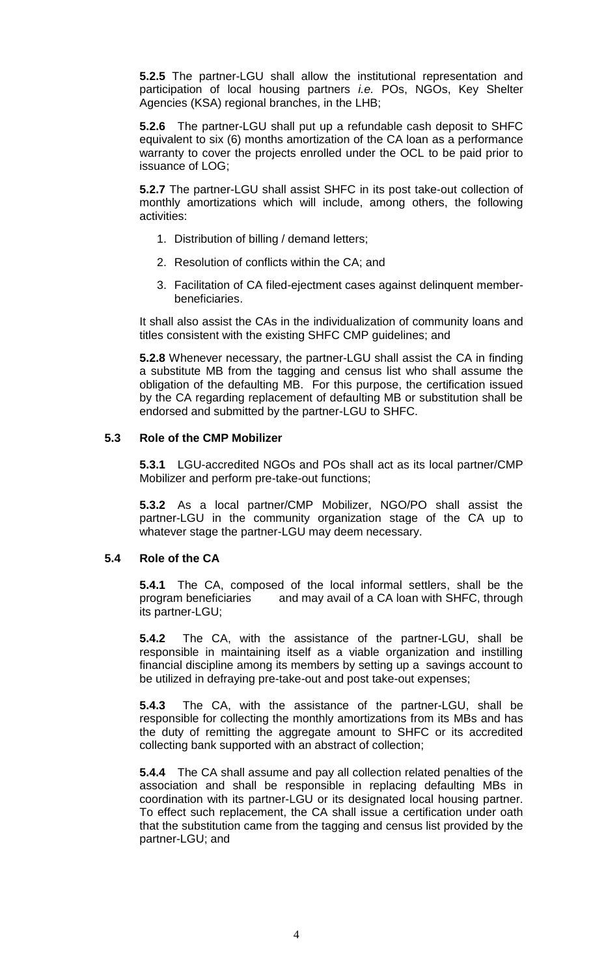**5.2.5** The partner-LGU shall allow the institutional representation and participation of local housing partners *i.e.* POs, NGOs, Key Shelter Agencies (KSA) regional branches, in the LHB;

**5.2.6** The partner-LGU shall put up a refundable cash deposit to SHFC equivalent to six (6) months amortization of the CA loan as a performance warranty to cover the projects enrolled under the OCL to be paid prior to issuance of LOG;

**5.2.7** The partner-LGU shall assist SHFC in its post take-out collection of monthly amortizations which will include, among others, the following activities:

- 1. Distribution of billing / demand letters;
- 2. Resolution of conflicts within the CA; and
- 3. Facilitation of CA filed-ejectment cases against delinquent memberbeneficiaries.

It shall also assist the CAs in the individualization of community loans and titles consistent with the existing SHFC CMP guidelines; and

**5.2.8** Whenever necessary, the partner-LGU shall assist the CA in finding a substitute MB from the tagging and census list who shall assume the obligation of the defaulting MB. For this purpose, the certification issued by the CA regarding replacement of defaulting MB or substitution shall be endorsed and submitted by the partner-LGU to SHFC.

### **5.3 Role of the CMP Mobilizer**

**5.3.1** LGU-accredited NGOs and POs shall act as its local partner/CMP Mobilizer and perform pre-take-out functions;

**5.3.2** As a local partner/CMP Mobilizer, NGO/PO shall assist the partner-LGU in the community organization stage of the CA up to whatever stage the partner-LGU may deem necessary.

## **5.4 Role of the CA**

**5.4.1** The CA, composed of the local informal settlers, shall be the program beneficiaries and may avail of a CA loan with SHFC, through its partner-LGU;

**5.4.2** The CA, with the assistance of the partner-LGU, shall be responsible in maintaining itself as a viable organization and instilling financial discipline among its members by setting up a savings account to be utilized in defraying pre-take-out and post take-out expenses;

**5.4.3** The CA, with the assistance of the partner-LGU, shall be responsible for collecting the monthly amortizations from its MBs and has the duty of remitting the aggregate amount to SHFC or its accredited collecting bank supported with an abstract of collection;

**5.4.4** The CA shall assume and pay all collection related penalties of the association and shall be responsible in replacing defaulting MBs in coordination with its partner-LGU or its designated local housing partner. To effect such replacement, the CA shall issue a certification under oath that the substitution came from the tagging and census list provided by the partner-LGU; and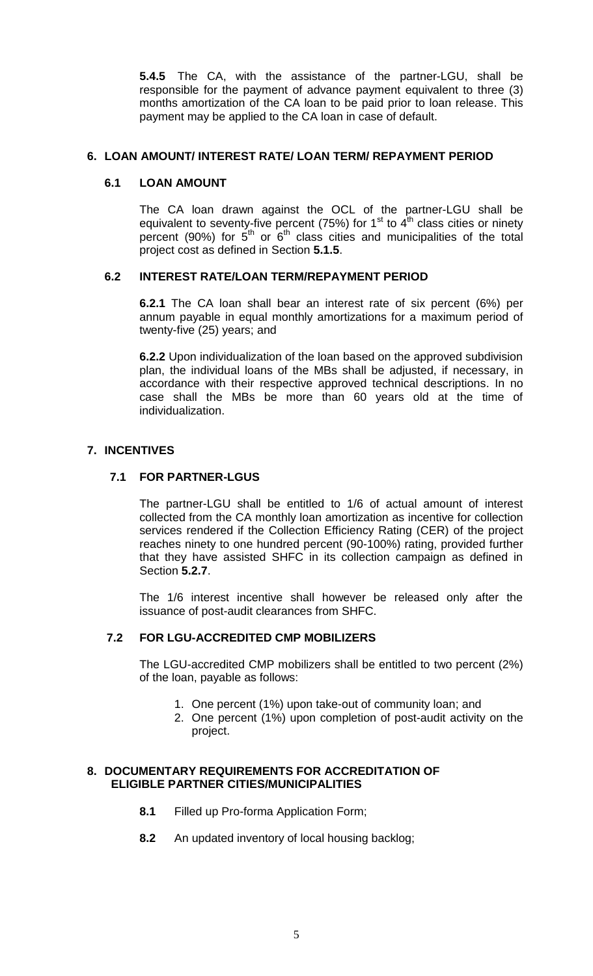**5.4.5** The CA, with the assistance of the partner-LGU, shall be responsible for the payment of advance payment equivalent to three (3) months amortization of the CA loan to be paid prior to loan release. This payment may be applied to the CA loan in case of default.

### **6. LOAN AMOUNT/ INTEREST RATE/ LOAN TERM/ REPAYMENT PERIOD**

### **6.1 LOAN AMOUNT**

The CA loan drawn against the OCL of the partner-LGU shall be equivalent to seventy-five percent (75%) for 1<sup>st</sup> to 4<sup>th</sup> class cities or ninety percent (90%) for  $5<sup>th</sup>$  or  $6<sup>th</sup>$  class cities and municipalities of the total project cost as defined in Section **5.1.5**.

### **6.2 INTEREST RATE/LOAN TERM/REPAYMENT PERIOD**

**6.2.1** The CA loan shall bear an interest rate of six percent (6%) per annum payable in equal monthly amortizations for a maximum period of twenty-five (25) years; and

**6.2.2** Upon individualization of the loan based on the approved subdivision plan, the individual loans of the MBs shall be adjusted, if necessary, in accordance with their respective approved technical descriptions. In no case shall the MBs be more than 60 years old at the time of individualization.

### **7. INCENTIVES**

### **7.1 FOR PARTNER-LGUS**

The partner-LGU shall be entitled to 1/6 of actual amount of interest collected from the CA monthly loan amortization as incentive for collection services rendered if the Collection Efficiency Rating (CER) of the project reaches ninety to one hundred percent (90-100%) rating, provided further that they have assisted SHFC in its collection campaign as defined in Section **5.2.7**.

The 1/6 interest incentive shall however be released only after the issuance of post-audit clearances from SHFC.

## **7.2 FOR LGU-ACCREDITED CMP MOBILIZERS**

The LGU-accredited CMP mobilizers shall be entitled to two percent (2%) of the loan, payable as follows:

- 1. One percent (1%) upon take-out of community loan; and
- 2. One percent (1%) upon completion of post-audit activity on the project.

### **8. DOCUMENTARY REQUIREMENTS FOR ACCREDITATION OF ELIGIBLE PARTNER CITIES/MUNICIPALITIES**

- **8.1** Filled up Pro-forma Application Form;
- **8.2** An updated inventory of local housing backlog;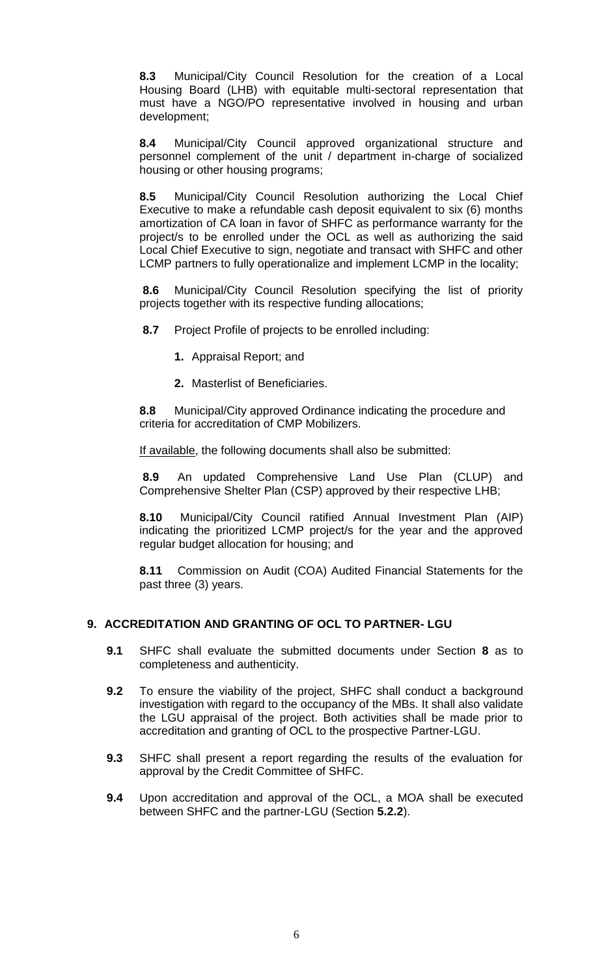**8.3** Municipal/City Council Resolution for the creation of a Local Housing Board (LHB) with equitable multi-sectoral representation that must have a NGO/PO representative involved in housing and urban development;

**8.4** Municipal/City Council approved organizational structure and personnel complement of the unit / department in-charge of socialized housing or other housing programs;

 **8.5** Municipal/City Council Resolution authorizing the Local Chief Executive to make a refundable cash deposit equivalent to six (6) months amortization of CA loan in favor of SHFC as performance warranty for the project/s to be enrolled under the OCL as well as authorizing the said Local Chief Executive to sign, negotiate and transact with SHFC and other LCMP partners to fully operationalize and implement LCMP in the locality;

 **8.6** Municipal/City Council Resolution specifying the list of priority projects together with its respective funding allocations;

 **8.7** Project Profile of projects to be enrolled including:

- **1.** Appraisal Report; and
- **2.** Masterlist of Beneficiaries.

**8.8** Municipal/City approved Ordinance indicating the procedure and criteria for accreditation of CMP Mobilizers.

If available, the following documents shall also be submitted:

 **8.9** An updated Comprehensive Land Use Plan (CLUP) and Comprehensive Shelter Plan (CSP) approved by their respective LHB;

 **8.10** Municipal/City Council ratified Annual Investment Plan (AIP) indicating the prioritized LCMP project/s for the year and the approved regular budget allocation for housing; and

**8.11** Commission on Audit (COA) Audited Financial Statements for the past three (3) years.

## **9. ACCREDITATION AND GRANTING OF OCL TO PARTNER- LGU**

- **9.1** SHFC shall evaluate the submitted documents under Section **8** as to completeness and authenticity.
- **9.2** To ensure the viability of the project, SHFC shall conduct a background investigation with regard to the occupancy of the MBs. It shall also validate the LGU appraisal of the project. Both activities shall be made prior to accreditation and granting of OCL to the prospective Partner-LGU.
- **9.3** SHFC shall present a report regarding the results of the evaluation for approval by the Credit Committee of SHFC.
- **9.4** Upon accreditation and approval of the OCL, a MOA shall be executed between SHFC and the partner-LGU (Section **5.2.2**).